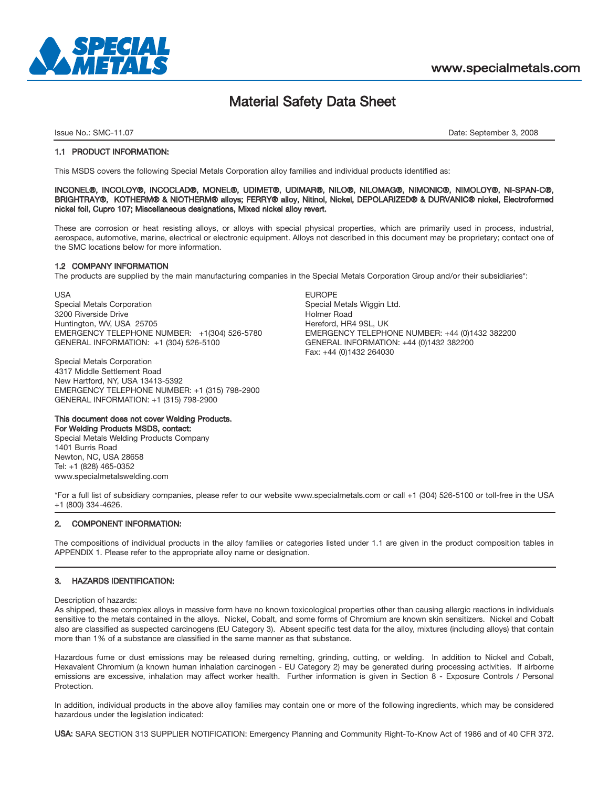

## Material Safety Data Sheet

Issue No.: SMC-11.07 Date: September 3, 2008

#### 1.1 PRODUCT INFORMATION:

This MSDS covers the following Special Metals Corporation alloy families and individual products identified as:

#### INCONEL®, INCOLOY®, INCOCLAD®, MONEL®, UDIMET®, UDIMAR®, NILO®, NILOMAG®, NIMONIC®, NIMOLOY®, NI-SPAN-C®, BRIGHTRAY®, KOTHERM® & NIOTHERM® alloys; FERRY® alloy, Nitinol, Nickel, DEPOLARIZED® & DURVANIC® nickel, Electroformed nickel foil, Cupro 107; Miscellaneous designations, Mixed nickel alloy revert.

These are corrosion or heat resisting alloys, or alloys with special physical properties, which are primarily used in process, industrial, aerospace, automotive, marine, electrical or electronic equipment. Alloys not described in this document may be proprietary; contact one of the SMC locations below for more information.

#### 1.2 COMPANY INFORMATION

The products are supplied by the main manufacturing companies in the Special Metals Corporation Group and/or their subsidiaries\*:

USA EUROPE Special Metals Corporation Special Metals Wiggin Ltd. Special Metals Wiggin Ltd. 3200 Riverside Drive and Santiactic Control of the Holmer Road Holmer Road Holmer Road Control of the 1951, UK<br>State Holmes Holmes Holmes And Holmes Holmes Holmes Hereford, HR4 9SL, UK Huntington, WV, USA 25705<br>EMERGENCY TELEPHONE NUMBER: +1(304) 526-5780 GENERAL INFORMATION: +1 (304) 526-5100 GENERAL INFORMATION: +44 (0)1432 382200

Special Metals Corporation 4317 Middle Settlement Road New Hartford, NY, USA 13413-5392 EMERGENCY TELEPHONE NUMBER: +1 (315) 798-2900 GENERAL INFORMATION: +1 (315) 798-2900

#### This document does not cover Welding Products.

For Welding Products MSDS, contact: Special Metals Welding Products Company 1401 Burris Road Newton, NC, USA 28658 Tel: +1 (828) 465-0352 www.specialmetalswelding.com

EMERGENCY TELEPHONE NUMBER: +44 (0)1432 382200 Fax: +44 (0)1432 264030

\*For a full list of subsidiary companies, please refer to our website www.specialmetals.com or call +1 (304) 526-5100 or toll-free in the USA +1 (800) 334-4626.

#### 2. COMPONENT INFORMATION:

The compositions of individual products in the alloy families or categories listed under 1.1 are given in the product composition tables in APPENDIX 1. Please refer to the appropriate alloy name or designation.

#### 3. HAZARDS IDENTIFICATION:

Description of hazards:

As shipped, these complex alloys in massive form have no known toxicological properties other than causing allergic reactions in individuals sensitive to the metals contained in the alloys. Nickel, Cobalt, and some forms of Chromium are known skin sensitizers. Nickel and Cobalt also are classified as suspected carcinogens (EU Category 3). Absent specific test data for the alloy, mixtures (including alloys) that contain more than 1% of a substance are classified in the same manner as that substance.

Hazardous fume or dust emissions may be released during remelting, grinding, cutting, or welding. In addition to Nickel and Cobalt, Hexavalent Chromium (a known human inhalation carcinogen - EU Category 2) may be generated during processing activities. If airborne emissions are excessive, inhalation may affect worker health. Further information is given in Section 8 - Exposure Controls / Personal **Protection** 

In addition, individual products in the above alloy families may contain one or more of the following ingredients, which may be considered hazardous under the legislation indicated:

USA: SARA SECTION 313 SUPPLIER NOTIFICATION: Emergency Planning and Community Right-To-Know Act of 1986 and of 40 CFR 372.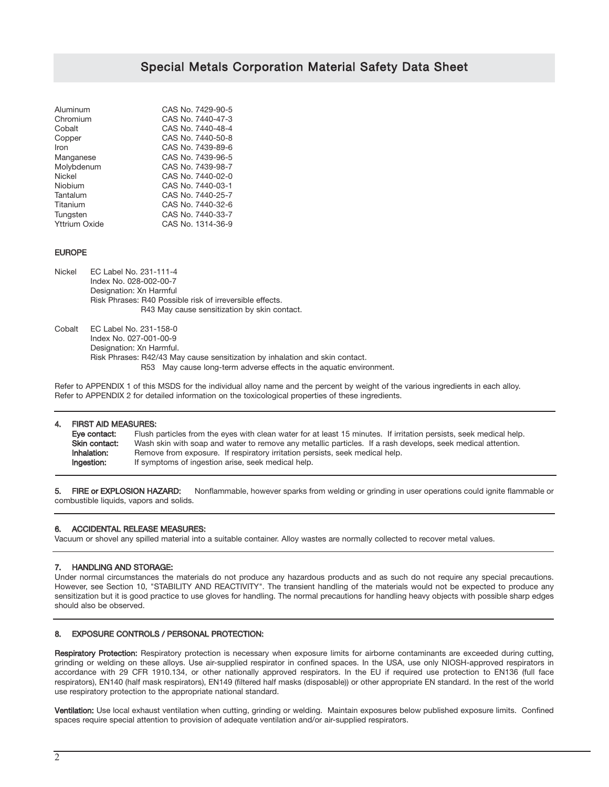| Aluminum             | CAS No. 7429-90-5 |
|----------------------|-------------------|
| Chromium             | CAS No. 7440-47-3 |
| Cobalt               | CAS No. 7440-48-4 |
| Copper               | CAS No. 7440-50-8 |
| Iron                 | CAS No. 7439-89-6 |
| Manganese            | CAS No. 7439-96-5 |
| Molybdenum           | CAS No. 7439-98-7 |
| Nickel               | CAS No. 7440-02-0 |
| Niobium              | CAS No. 7440-03-1 |
| Tantalum             | CAS No. 7440-25-7 |
| Titanium             | CAS No. 7440-32-6 |
| Tungsten             | CAS No. 7440-33-7 |
| <b>Yttrium Oxide</b> | CAS No. 1314-36-9 |
|                      |                   |

#### EUROPE

Nickel EC Label No. 231-111-4 Index No. 028-002-00-7 Designation: Xn Harmful Risk Phrases: R40 Possible risk of irreversible effects. R43 May cause sensitization by skin contact.

Cobalt EC Label No. 231-158-0 Index No. 027-001-00-9 Designation: Xn Harmful. Risk Phrases: R42/43 May cause sensitization by inhalation and skin contact. R53 May cause long-term adverse effects in the aquatic environment.

Refer to APPENDIX 1 of this MSDS for the individual alloy name and the percent by weight of the various ingredients in each alloy. Refer to APPENDIX 2 for detailed information on the toxicological properties of these ingredients.

| 4. | <b>FIRST AID MEASURES:</b> |                                                                                                                    |
|----|----------------------------|--------------------------------------------------------------------------------------------------------------------|
|    | Eve contact:               | Flush particles from the eyes with clean water for at least 15 minutes. If irritation persists, seek medical help. |
|    | Skin contact:              | Wash skin with soap and water to remove any metallic particles. If a rash develops, seek medical attention.        |
|    | Inhalation:                | Remove from exposure. If respiratory irritation persists, seek medical help.                                       |
|    | Ingestion:                 | If symptoms of ingestion arise, seek medical help.                                                                 |

5. FIRE or EXPLOSION HAZARD: Nonflammable, however sparks from welding or grinding in user operations could ignite flammable or combustible liquids, vapors and solids.

## 6. ACCIDENTAL RELEASE MEASURES:

Vacuum or shovel any spilled material into a suitable container. Alloy wastes are normally collected to recover metal values.

#### 7. HANDLING AND STORAGE:

Under normal circumstances the materials do not produce any hazardous products and as such do not require any special precautions. However, see Section 10, "STABILITY AND REACTIVITY". The transient handling of the materials would not be expected to produce any sensitization but it is good practice to use gloves for handling. The normal precautions for handling heavy objects with possible sharp edges should also be observed.

#### 8. EXPOSURE CONTROLS / PERSONAL PROTECTION:

Respiratory Protection: Respiratory protection is necessary when exposure limits for airborne contaminants are exceeded during cutting, grinding or welding on these alloys. Use air-supplied respirator in confined spaces. In the USA, use only NIOSH-approved respirators in accordance with 29 CFR 1910.134, or other nationally approved respirators. In the EU if required use protection to EN136 (full face respirators), EN140 (half mask respirators), EN149 (filtered half masks (disposable)) or other appropriate EN standard. In the rest of the world use respiratory protection to the appropriate national standard.

Ventilation: Use local exhaust ventilation when cutting, grinding or welding. Maintain exposures below published exposure limits. Confined spaces require special attention to provision of adequate ventilation and/or air-supplied respirators.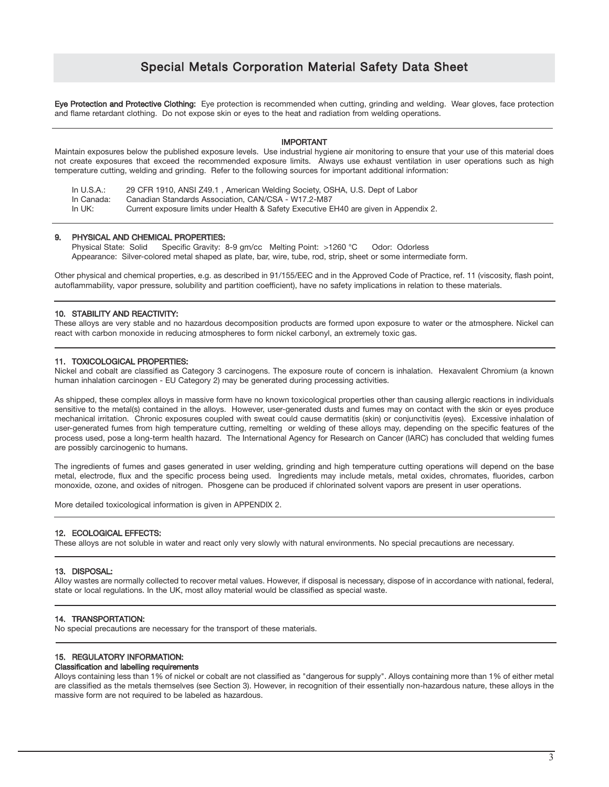Eye Protection and Protective Clothing: Eye protection is recommended when cutting, grinding and welding. Wear gloves, face protection and flame retardant clothing. Do not expose skin or eyes to the heat and radiation from welding operations.

#### IMPORTANT

Maintain exposures below the published exposure levels. Use industrial hygiene air monitoring to ensure that your use of this material does not create exposures that exceed the recommended exposure limits. Always use exhaust ventilation in user operations such as high temperature cutting, welding and grinding. Refer to the following sources for important additional information:

| In U.S.A.: | 29 CFR 1910, ANSI Z49.1, American Welding Society, OSHA, U.S. Dept of Labor           |
|------------|---------------------------------------------------------------------------------------|
| In Canada: | Canadian Standards Association. CAN/CSA - W17.2-M87                                   |
| In UK:     | Current exposure limits under Health & Safety Executive EH40 are given in Appendix 2. |

#### 9. PHYSICAL AND CHEMICAL PROPERTIES:

Physical State: Solid Specific Gravity: 8-9 gm/cc Melting Point: >1260 °C Odor: Odorless Appearance: Silver-colored metal shaped as plate, bar, wire, tube, rod, strip, sheet or some intermediate form.

Other physical and chemical properties, e.g. as described in 91/155/EEC and in the Approved Code of Practice, ref. 11 (viscosity, flash point, autoflammability, vapor pressure, solubility and partition coefficient), have no safety implications in relation to these materials.

#### 10. STABILITY AND REACTIVITY:

These alloys are very stable and no hazardous decomposition products are formed upon exposure to water or the atmosphere. Nickel can react with carbon monoxide in reducing atmospheres to form nickel carbonyl, an extremely toxic gas.

#### 11. TOXICOLOGICAL PROPERTIES:

Nickel and cobalt are classified as Category 3 carcinogens. The exposure route of concern is inhalation. Hexavalent Chromium (a known human inhalation carcinogen - EU Category 2) may be generated during processing activities.

As shipped, these complex alloys in massive form have no known toxicological properties other than causing allergic reactions in individuals sensitive to the metal(s) contained in the alloys. However, user-generated dusts and fumes may on contact with the skin or eyes produce mechanical irritation. Chronic exposures coupled with sweat could cause dermatitis (skin) or conjunctivitis (eyes). Excessive inhalation of user-generated fumes from high temperature cutting, remelting or welding of these alloys may, depending on the specific features of the process used, pose a long-term health hazard. The International Agency for Research on Cancer (IARC) has concluded that welding fumes are possibly carcinogenic to humans.

The ingredients of fumes and gases generated in user welding, grinding and high temperature cutting operations will depend on the base metal, electrode, flux and the specific process being used. Ingredients may include metals, metal oxides, chromates, fluorides, carbon monoxide, ozone, and oxides of nitrogen. Phosgene can be produced if chlorinated solvent vapors are present in user operations.

More detailed toxicological information is given in APPENDIX 2.

#### 12. ECOLOGICAL EFFECTS:

These alloys are not soluble in water and react only very slowly with natural environments. No special precautions are necessary.

#### 13. DISPOSAL:

Alloy wastes are normally collected to recover metal values. However, if disposal is necessary, dispose of in accordance with national, federal, state or local regulations. In the UK, most alloy material would be classified as special waste.

#### 14. TRANSPORTATION:

No special precautions are necessary for the transport of these materials.

#### 15. REGULATORY INFORMATION: Classification and labelling requirements

Alloys containing less than 1% of nickel or cobalt are not classified as "dangerous for supply". Alloys containing more than 1% of either metal are classified as the metals themselves (see Section 3). However, in recognition of their essentially non-hazardous nature, these alloys in the massive form are not required to be labeled as hazardous.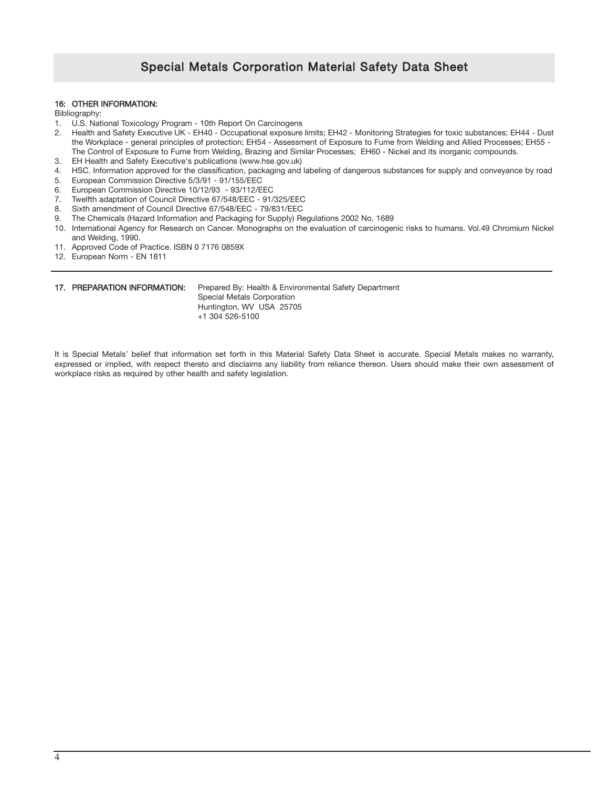#### 16: OTHER INFORMATION:

Bibliography:

- 1. U.S. National Toxicology Program 10th Report On Carcinogens
- 2. Health and Safety Executive UK EH40 Occupational exposure limits; EH42 Monitoring Strategies for toxic substances; EH44 Dust the Workplace - general principles of protection; EH54 - Assessment of Exposure to Fume from Welding and Allied Processes; EH55 - The Control of Exposure to Fume from Welding, Brazing and Similar Processes; EH60 - Nickel and its inorganic compounds.
- 3. EH Health and Safety Executive's publications (www.hse.gov.uk)
- 4. HSC. Information approved for the classification, packaging and labeling of dangerous substances for supply and conveyance by road
- 5. European Commission Directive 5/3/91 91/155/EEC
- 6. European Commission Directive 10/12/93 93/112/EEC
- 7. Twelfth adaptation of Council Directive 67/548/EEC 91/325/EEC
- 8. Sixth amendment of Council Directive 67/548/EEC 79/831/EEC
- 9. The Chemicals (Hazard Information and Packaging for Supply) Regulations 2002 No. 1689
- 10. International Agency for Research on Cancer. Monographs on the evaluation of carcinogenic risks to humans. Vol.49 Chromium Nickel and Welding, 1990.
- 11. Approved Code of Practice. ISBN 0 7176 0859X
- 12. European Norm EN 1811

17. PREPARATION INFORMATION: Prepared By: Health & Environmental Safety Department Special Metals Corporation Huntington, WV USA 25705 +1 304 526-5100

It is Special Metals' belief that information set forth in this Material Safety Data Sheet is accurate. Special Metals makes no warranty, expressed or implied, with respect thereto and disclaims any liability from reliance thereon. Users should make their own assessment of workplace risks as required by other health and safety legislation.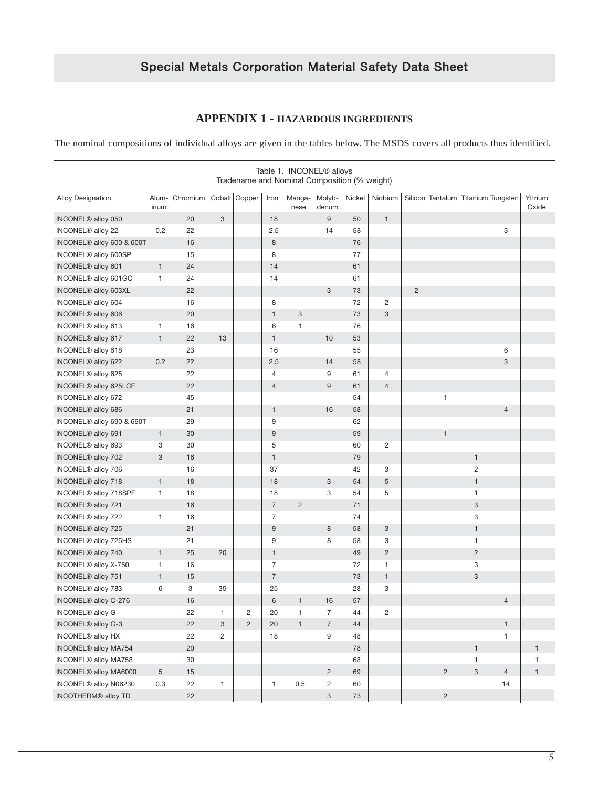## **APPENDIX 1 - HAZARDOUS INGREDIENTS**

The nominal compositions of individual alloys are given in the tables below. The MSDS covers all products thus identified.

|                                       |               |          |                |                |                | TADIC T. TIVOUVEL TO ATTUYS<br>Tradename and Nominal Composition (% weight) |                 |        |                |                |                                          |                |                |                  |
|---------------------------------------|---------------|----------|----------------|----------------|----------------|-----------------------------------------------------------------------------|-----------------|--------|----------------|----------------|------------------------------------------|----------------|----------------|------------------|
| <b>Alloy Designation</b>              | Alum-<br>inum | Chromium |                | Cobalt Copper  | Iron           | Manga-<br>nese                                                              | Molyb-<br>denum | Nickel | Niobium        |                | Silicon   Tantalum   Titanium   Tungsten |                |                | Yttrium<br>Oxide |
| INCONEL <sup>®</sup> alloy 050        |               | 20       | 3              |                | 18             |                                                                             | 9               | 50     | $\mathbf{1}$   |                |                                          |                |                |                  |
| INCONEL <sup>®</sup> alloy 22         | 0.2           | 22       |                |                | 2.5            |                                                                             | 14              | 58     |                |                |                                          |                | 3              |                  |
| INCONEL <sup>®</sup> alloy 600 & 600T |               | 16       |                |                | 8              |                                                                             |                 | 76     |                |                |                                          |                |                |                  |
| INCONEL <sup>®</sup> alloy 600SP      |               | 15       |                |                | 8              |                                                                             |                 | 77     |                |                |                                          |                |                |                  |
| INCONEL <sup>®</sup> alloy 601        | $\mathbf{1}$  | 24       |                |                | 14             |                                                                             |                 | 61     |                |                |                                          |                |                |                  |
| INCONEL® alloy 601GC                  | 1             | 24       |                |                | 14             |                                                                             |                 | 61     |                |                |                                          |                |                |                  |
| INCONEL <sup>®</sup> alloy 603XL      |               | 22       |                |                |                |                                                                             | 3               | 73     |                | $\overline{2}$ |                                          |                |                |                  |
| INCONEL <sup>®</sup> alloy 604        |               | 16       |                |                | 8              |                                                                             |                 | 72     | $\overline{c}$ |                |                                          |                |                |                  |
| INCONEL <sup>®</sup> alloy 606        |               | 20       |                |                | 1              | 3                                                                           |                 | 73     | 3              |                |                                          |                |                |                  |
| INCONEL <sup>®</sup> alloy 613        | 1             | 16       |                |                | 6              | 1                                                                           |                 | 76     |                |                |                                          |                |                |                  |
| INCONEL <sup>®</sup> alloy 617        | $\mathbf{1}$  | 22       | 13             |                | 1              |                                                                             | 10              | 53     |                |                |                                          |                |                |                  |
| INCONEL <sup>®</sup> alloy 618        |               | 23       |                |                | 16             |                                                                             |                 | 55     |                |                |                                          |                | 6              |                  |
| INCONEL <sup>®</sup> alloy 622        | 0.2           | 22       |                |                | 2.5            |                                                                             | 14              | 58     |                |                |                                          |                | $\sqrt{3}$     |                  |
| INCONEL® alloy 625                    |               | 22       |                |                | 4              |                                                                             | 9               | 61     | 4              |                |                                          |                |                |                  |
| INCONEL <sup>®</sup> alloy 625LCF     |               | 22       |                |                | $\overline{4}$ |                                                                             | 9               | 61     | $\overline{4}$ |                |                                          |                |                |                  |
| INCONEL <sup>®</sup> alloy 672        |               | 45       |                |                |                |                                                                             |                 | 54     |                |                | 1                                        |                |                |                  |
| INCONEL <sup>®</sup> alloy 686        |               | 21       |                |                | $\mathbf{1}$   |                                                                             | 16              | 58     |                |                |                                          |                | $\overline{4}$ |                  |
| INCONEL® alloy 690 & 690T             |               | 29       |                |                | 9              |                                                                             |                 | 62     |                |                |                                          |                |                |                  |
| INCONEL <sup>®</sup> alloy 691        | $\mathbf{1}$  | 30       |                |                | 9              |                                                                             |                 | 59     |                |                | $\mathbf{1}$                             |                |                |                  |
| INCONEL <sup>®</sup> alloy 693        | 3             | 30       |                |                | 5              |                                                                             |                 | 60     | $\overline{c}$ |                |                                          |                |                |                  |
| INCONEL <sup>®</sup> alloy 702        | 3             | 16       |                |                | $\mathbf{1}$   |                                                                             |                 | 79     |                |                |                                          | $\mathbf{1}$   |                |                  |
| INCONEL <sup>®</sup> alloy 706        |               | 16       |                |                | 37             |                                                                             |                 | 42     | 3              |                |                                          | 2              |                |                  |
| INCONEL <sup>®</sup> alloy 718        | $\mathbf{1}$  | 18       |                |                | 18             |                                                                             | 3               | 54     | 5              |                |                                          | $\mathbf{1}$   |                |                  |
| INCONEL <sup>®</sup> alloy 718SPF     | $\mathbf{1}$  | 18       |                |                | 18             |                                                                             | 3               | 54     | 5              |                |                                          | 1              |                |                  |
| INCONEL <sup>®</sup> alloy 721        |               | 16       |                |                | $\overline{7}$ | $\overline{2}$                                                              |                 | 71     |                |                |                                          | 3              |                |                  |
| INCONEL <sup>®</sup> alloy 722        | $\mathbf{1}$  | 16       |                |                | $\overline{7}$ |                                                                             |                 | 74     |                |                |                                          | 3              |                |                  |
| INCONEL <sup>®</sup> alloy 725        |               | 21       |                |                | 9              |                                                                             | 8               | 58     | 3              |                |                                          | $\mathbf{1}$   |                |                  |
| INCONEL® alloy 725HS                  |               | 21       |                |                | 9              |                                                                             | 8               | 58     | 3              |                |                                          | 1              |                |                  |
| INCONEL <sup>®</sup> alloy 740        | $\mathbf{1}$  | 25       | 20             |                | $\mathbf{1}$   |                                                                             |                 | 49     | $\overline{2}$ |                |                                          | $\overline{c}$ |                |                  |
| INCONEL <sup>®</sup> alloy X-750      | $\mathbf{1}$  | 16       |                |                | 7              |                                                                             |                 | 72     | $\mathbf{1}$   |                |                                          | 3              |                |                  |
| INCONEL® alloy 751                    | $\mathbf{1}$  | 15       |                |                | $\overline{7}$ |                                                                             |                 | 73     | $\mathbf{1}$   |                |                                          | 3              |                |                  |
| INCONEL <sup>®</sup> alloy 783        | 6             | 3        | 35             |                | 25             |                                                                             |                 | 28     | 3              |                |                                          |                |                |                  |
| INCONEL <sup>®</sup> alloy C-276      |               | 16       |                |                | 6              | 1                                                                           | 16              | 57     |                |                |                                          |                | $\overline{4}$ |                  |
| INCONEL <sup>®</sup> alloy G          |               | 22       | $\mathbf{1}$   | $\overline{c}$ | 20             | 1                                                                           | $\overline{7}$  | 44     | $\overline{2}$ |                |                                          |                |                |                  |
| INCONEL <sup>®</sup> alloy G-3        |               | 22       | 3              | $\overline{2}$ | 20             | $\mathbf{1}$                                                                | $\overline{7}$  | 44     |                |                |                                          |                | $\mathbf{1}$   |                  |
| INCONEL <sup>®</sup> alloy HX         |               | 22       | $\overline{2}$ |                | 18             |                                                                             | 9               | 48     |                |                |                                          |                | $\mathbf{1}$   |                  |
| INCONEL® alloy MA754                  |               | 20       |                |                |                |                                                                             |                 | 78     |                |                |                                          | $\mathbf{1}$   |                | $\mathbf{1}$     |
| INCONEL <sup>®</sup> alloy MA758      |               | 30       |                |                |                |                                                                             |                 | 68     |                |                |                                          | 1              |                | $\mathbf{1}$     |
| INCONEL® alloy MA6000                 | $\sqrt{5}$    | 15       |                |                |                |                                                                             | $\overline{2}$  | 69     |                |                | $\overline{c}$                           | 3              | $\overline{4}$ | $\mathbf{1}$     |
| INCONEL® alloy N06230                 | 0.3           | 22       | $\mathbf{1}$   |                | 1              | 0.5                                                                         | $\overline{c}$  | 60     |                |                |                                          |                | 14             |                  |
| INCOTHERM® alloy TD                   |               | 22       |                |                |                |                                                                             | $\mathbf{3}$    | 73     |                |                | $\sqrt{2}$                               |                |                |                  |

# Table 1. INCONEL® alloys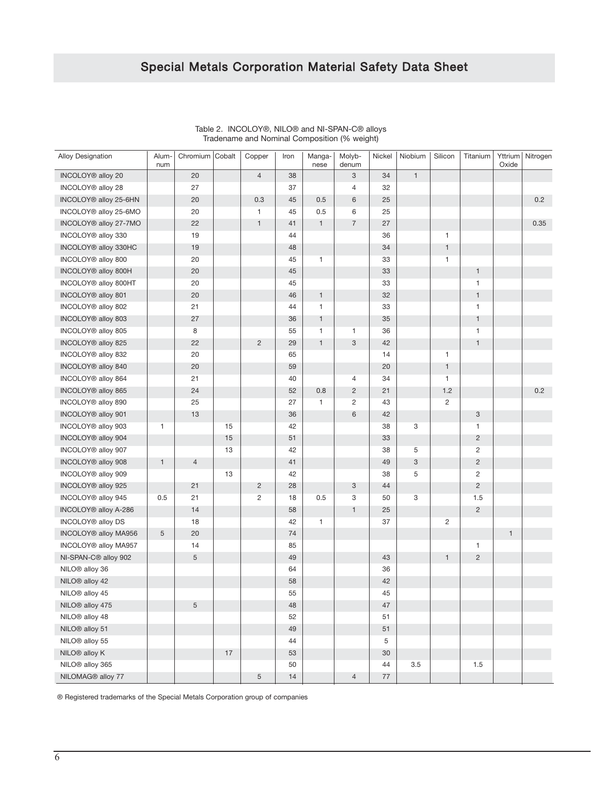| <b>Alloy Designation</b>          | Alum-<br>num | Chromium   Cobalt |    | Copper         | Iron | Manga-<br>nese | Molyb-<br>denum | Nickel | Niobium                   | Silicon        | Titanium       | Yttrium<br>Oxide | Nitrogen |
|-----------------------------------|--------------|-------------------|----|----------------|------|----------------|-----------------|--------|---------------------------|----------------|----------------|------------------|----------|
| INCOLOY® alloy 20                 |              | 20                |    | $\overline{4}$ | 38   |                | 3               | 34     | $\mathbf{1}$              |                |                |                  |          |
| INCOLOY® alloy 28                 |              | 27                |    |                | 37   |                | 4               | 32     |                           |                |                |                  |          |
| INCOLOY <sup>®</sup> alloy 25-6HN |              | 20                |    | 0.3            | 45   | 0.5            | 6               | 25     |                           |                |                |                  | 0.2      |
| INCOLOY® alloy 25-6MO             |              | 20                |    | $\mathbf{1}$   | 45   | 0.5            | 6               | 25     |                           |                |                |                  |          |
| INCOLOY <sup>®</sup> alloy 27-7MO |              | 22                |    | $\mathbf{1}$   | 41   | $\mathbf{1}$   | $\overline{7}$  | 27     |                           |                |                |                  | 0.35     |
| INCOLOY® alloy 330                |              | 19                |    |                | 44   |                |                 | 36     |                           | $\mathbf{1}$   |                |                  |          |
| INCOLOY <sup>®</sup> alloy 330HC  |              | 19                |    |                | 48   |                |                 | 34     |                           | $\mathbf{1}$   |                |                  |          |
| INCOLOY® alloy 800                |              | 20                |    |                | 45   | 1              |                 | 33     |                           | 1              |                |                  |          |
| INCOLOY <sup>®</sup> alloy 800H   |              | 20                |    |                | 45   |                |                 | 33     |                           |                | $\mathbf{1}$   |                  |          |
| INCOLOY® alloy 800HT              |              | 20                |    |                | 45   |                |                 | 33     |                           |                | $\mathbf{1}$   |                  |          |
| INCOLOY <sup>®</sup> alloy 801    |              | 20                |    |                | 46   | $\mathbf{1}$   |                 | 32     |                           |                | $\mathbf{1}$   |                  |          |
| INCOLOY® alloy 802                |              | 21                |    |                | 44   | $\mathbf{1}$   |                 | 33     |                           |                | $\mathbf{1}$   |                  |          |
| INCOLOY® alloy 803                |              | 27                |    |                | 36   | $\mathbf{1}$   |                 | 35     |                           |                | $\mathbf{1}$   |                  |          |
| INCOLOY® alloy 805                |              | 8                 |    |                | 55   | 1              | 1               | 36     |                           |                | $\mathbf{1}$   |                  |          |
| INCOLOY® alloy 825                |              | 22                |    | $\overline{2}$ | 29   | $\mathbf{1}$   | 3               | 42     |                           |                | $\mathbf{1}$   |                  |          |
| INCOLOY® alloy 832                |              | 20                |    |                | 65   |                |                 | 14     |                           | 1              |                |                  |          |
| INCOLOY® alloy 840                |              | 20                |    |                | 59   |                |                 | 20     |                           | $\mathbf{1}$   |                |                  |          |
| INCOLOY® alloy 864                |              | 21                |    |                | 40   |                | 4               | 34     |                           | 1              |                |                  |          |
| INCOLOY <sup>®</sup> alloy 865    |              | 24                |    |                | 52   | 0.8            | $\overline{c}$  | 21     |                           | 1.2            |                |                  | 0.2      |
| INCOLOY® alloy 890                |              | 25                |    |                | 27   | 1              | $\overline{c}$  | 43     |                           | $\overline{c}$ |                |                  |          |
| INCOLOY® alloy 901                |              | 13                |    |                | 36   |                | 6               | 42     |                           |                | 3              |                  |          |
| INCOLOY® alloy 903                | 1            |                   | 15 |                | 42   |                |                 | 38     | 3                         |                | $\mathbf{1}$   |                  |          |
| INCOLOY® alloy 904                |              |                   | 15 |                | 51   |                |                 | 33     |                           |                | $\overline{c}$ |                  |          |
| INCOLOY® alloy 907                |              |                   | 13 |                | 42   |                |                 | 38     | 5                         |                | $\sqrt{2}$     |                  |          |
| INCOLOY® alloy 908                | $\mathbf{1}$ | $\overline{4}$    |    |                | 41   |                |                 | 49     | $\ensuremath{\mathsf{3}}$ |                | $\overline{c}$ |                  |          |
| INCOLOY® alloy 909                |              |                   | 13 |                | 42   |                |                 | 38     | 5                         |                | $\sqrt{2}$     |                  |          |
| INCOLOY® alloy 925                |              | 21                |    | $\overline{c}$ | 28   |                | 3               | 44     |                           |                | $\overline{2}$ |                  |          |
| INCOLOY® alloy 945                | 0.5          | 21                |    | $\overline{2}$ | 18   | 0.5            | 3               | 50     | 3                         |                | 1.5            |                  |          |
| INCOLOY <sup>®</sup> alloy A-286  |              | 14                |    |                | 58   |                | $\mathbf{1}$    | 25     |                           |                | $\overline{2}$ |                  |          |
| INCOLOY® alloy DS                 |              | 18                |    |                | 42   | $\mathbf{1}$   |                 | 37     |                           | $\overline{c}$ |                |                  |          |
| INCOLOY® alloy MA956              | 5            | 20                |    |                | 74   |                |                 |        |                           |                |                | $\mathbf{1}$     |          |
| INCOLOY <sup>®</sup> alloy MA957  |              | 14                |    |                | 85   |                |                 |        |                           |                | $\mathbf{1}$   |                  |          |
| NI-SPAN-C <sup>®</sup> alloy 902  |              | 5                 |    |                | 49   |                |                 | 43     |                           | $\mathbf{1}$   | $\overline{2}$ |                  |          |
| NILO® alloy 36                    |              |                   |    |                | 64   |                |                 | 36     |                           |                |                |                  |          |
| NILO <sup>®</sup> alloy 42        |              |                   |    |                | 58   |                |                 | 42     |                           |                |                |                  |          |
| NILO® alloy 45                    |              |                   |    |                | 55   |                |                 | 45     |                           |                |                |                  |          |
| NILO® alloy 475                   |              | 5                 |    |                | 48   |                |                 | 47     |                           |                |                |                  |          |
| NILO® alloy 48                    |              |                   |    |                | 52   |                |                 | 51     |                           |                |                |                  |          |
| NILO® alloy 51                    |              |                   |    |                | 49   |                |                 | 51     |                           |                |                |                  |          |
| NILO® alloy 55                    |              |                   |    |                | 44   |                |                 | 5      |                           |                |                |                  |          |
| NILO® alloy K                     |              |                   | 17 |                | 53   |                |                 | 30     |                           |                |                |                  |          |
| NILO® alloy 365                   |              |                   |    |                | 50   |                |                 | 44     | 3.5                       |                | 1.5            |                  |          |
| NILOMAG® alloy 77                 |              |                   |    | $\sqrt{5}$     | 14   |                | $\overline{4}$  | $77\,$ |                           |                |                |                  |          |

#### Table 2. INCOLOY®, NILO® and NI-SPAN-C® alloys Tradename and Nominal Composition (% weight)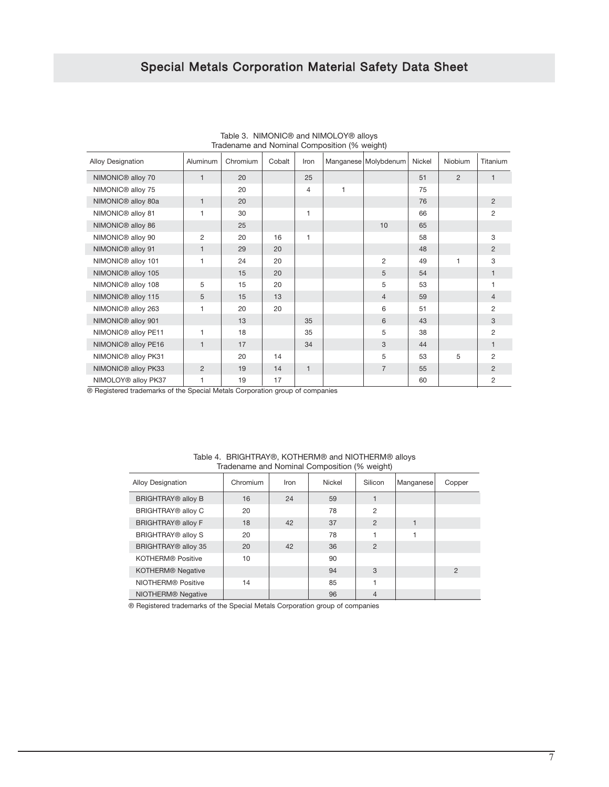|                                 |              | $1.888$ $1.8118$ $1.811112$ $1.811112$ $1.81112$ $1.81112$ $1.81112$ $1.81112$ $1.8112$ $1.8112$ $1.8112$ $1.8112$ $1.8112$ $1.8112$ $1.8112$ $1.8112$ $1.8112$ $1.8112$ $1.8112$ $1.8112$ $1.8112$ $1.8112$ $1.8112$ $1.8112$ |        |                |              |                      |        |              |                |
|---------------------------------|--------------|--------------------------------------------------------------------------------------------------------------------------------------------------------------------------------------------------------------------------------|--------|----------------|--------------|----------------------|--------|--------------|----------------|
| Alloy Designation               | Aluminum     | Chromium                                                                                                                                                                                                                       | Cobalt | Iron           |              | Manganese Molybdenum | Nickel | Niobium      | Titanium       |
| NIMONIC <sup>®</sup> alloy 70   | $\mathbf{1}$ | 20                                                                                                                                                                                                                             |        | 25             |              |                      | 51     | 2            | $\mathbf{1}$   |
| NIMONIC <sup>®</sup> alloy 75   |              | 20                                                                                                                                                                                                                             |        | $\overline{4}$ | $\mathbf{1}$ |                      | 75     |              |                |
| NIMONIC <sup>®</sup> alloy 80a  | $\mathbf{1}$ | 20                                                                                                                                                                                                                             |        |                |              |                      | 76     |              | 2              |
| NIMONIC <sup>®</sup> alloy 81   | 1            | 30                                                                                                                                                                                                                             |        | 1              |              |                      | 66     |              | 2              |
| NIMONIC <sup>®</sup> alloy 86   |              | 25                                                                                                                                                                                                                             |        |                |              | 10                   | 65     |              |                |
| NIMONIC <sup>®</sup> alloy 90   | 2            | 20                                                                                                                                                                                                                             | 16     | 1              |              |                      | 58     |              | 3              |
| NIMONIC <sup>®</sup> alloy 91   | $\mathbf{1}$ | 29                                                                                                                                                                                                                             | 20     |                |              |                      | 48     |              | 2              |
| NIMONIC <sup>®</sup> alloy 101  | $\mathbf{1}$ | 24                                                                                                                                                                                                                             | 20     |                |              | 2                    | 49     | $\mathbf{1}$ | 3              |
| NIMONIC <sup>®</sup> alloy 105  |              | 15                                                                                                                                                                                                                             | 20     |                |              | 5                    | 54     |              | 1              |
| NIMONIC <sup>®</sup> alloy 108  | 5            | 15                                                                                                                                                                                                                             | 20     |                |              | 5                    | 53     |              | 1              |
| NIMONIC <sup>®</sup> alloy 115  | 5            | 15                                                                                                                                                                                                                             | 13     |                |              | $\overline{4}$       | 59     |              | $\overline{4}$ |
| NIMONIC® alloy 263              | 1            | 20                                                                                                                                                                                                                             | 20     |                |              | 6                    | 51     |              | 2              |
| NIMONIC <sup>®</sup> alloy 901  |              | 13                                                                                                                                                                                                                             |        | 35             |              | 6                    | 43     |              | 3              |
| NIMONIC® alloy PE11             | 1            | 18                                                                                                                                                                                                                             |        | 35             |              | 5                    | 38     |              | $\overline{2}$ |
| NIMONIC® alloy PE16             | $\mathbf{1}$ | 17                                                                                                                                                                                                                             |        | 34             |              | 3                    | 44     |              | $\mathbf{1}$   |
| NIMONIC® alloy PK31             |              | 20                                                                                                                                                                                                                             | 14     |                |              | 5                    | 53     | 5            | $\overline{2}$ |
| NIMONIC <sup>®</sup> alloy PK33 | 2            | 19                                                                                                                                                                                                                             | 14     | $\mathbf{1}$   |              | $\overline{7}$       | 55     |              | 2              |
| NIMOLOY <sup>®</sup> alloy PK37 | 1            | 19                                                                                                                                                                                                                             | 17     |                |              |                      | 60     |              | $\overline{c}$ |

| Table 3. NIMONIC <sup>®</sup> and NIMOLOY <sup>®</sup> alloys |
|---------------------------------------------------------------|
| Tradename and Nominal Composition (% weight)                  |

® Registered trademarks of the Special Metals Corporation group of companies

| <b>Alloy Designation</b>       | Chromium | Iron | Nickel | Silicon        | Manganese | Copper         |
|--------------------------------|----------|------|--------|----------------|-----------|----------------|
| <b>BRIGHTRAY® alloy B</b>      | 16       | 24   | 59     |                |           |                |
| BRIGHTRAY® alloy C             | 20       |      | 78     | 2              |           |                |
| <b>BRIGHTRAY® alloy F</b>      | 18       | 42   | 37     | $\overline{2}$ |           |                |
| BRIGHTRAY® alloy S             | 20       |      | 78     |                |           |                |
| BRIGHTRAY® alloy 35            | 20       | 42   | 36     | $\overline{2}$ |           |                |
| <b>KOTHERM® Positive</b>       | 10       |      | 90     |                |           |                |
| <b>KOTHERM® Negative</b>       |          |      | 94     | 3              |           | $\overline{2}$ |
| NIOTHERM <sup>®</sup> Positive | 14       |      | 85     |                |           |                |
| NIOTHERM <sup>®</sup> Negative |          |      | 96     | $\overline{4}$ |           |                |

Table 4. BRIGHTRAY®, KOTHERM® and NIOTHERM® alloys Tradename and Nominal Composition (% weight)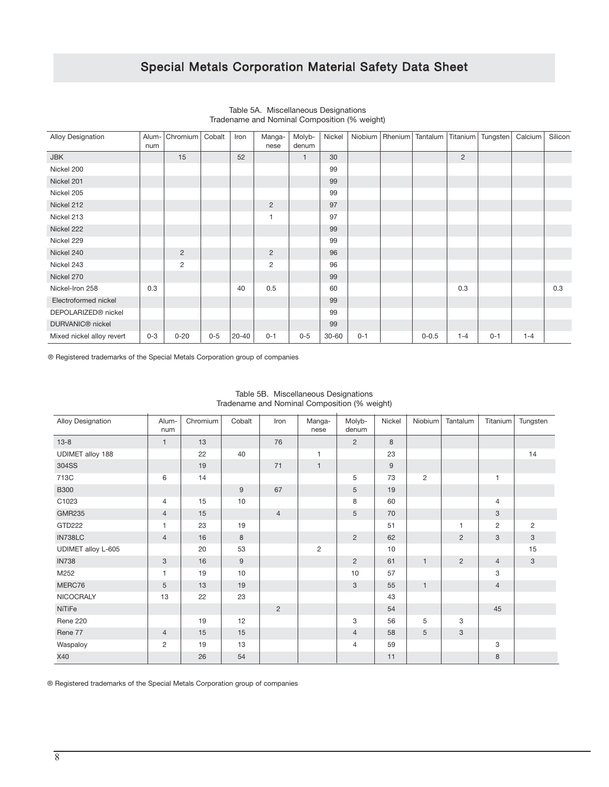| Alloy Designation            | Alum-<br>num | Chromium       | Cobalt | Iron      | Manga-<br>nese | Molyb-<br>denum | Nickel    |         | Niobium Rhenium | Tantalum  |                | Titanium   Tungsten | Calcium | Silicon |
|------------------------------|--------------|----------------|--------|-----------|----------------|-----------------|-----------|---------|-----------------|-----------|----------------|---------------------|---------|---------|
| <b>JBK</b>                   |              | 15             |        | 52        |                | $\mathbf{1}$    | 30        |         |                 |           | $\overline{2}$ |                     |         |         |
| Nickel 200                   |              |                |        |           |                |                 | 99        |         |                 |           |                |                     |         |         |
| Nickel 201                   |              |                |        |           |                |                 | 99        |         |                 |           |                |                     |         |         |
| Nickel 205                   |              |                |        |           |                |                 | 99        |         |                 |           |                |                     |         |         |
| Nickel 212                   |              |                |        |           | $\overline{c}$ |                 | 97        |         |                 |           |                |                     |         |         |
| Nickel 213                   |              |                |        |           | $\mathbf{1}$   |                 | 97        |         |                 |           |                |                     |         |         |
| Nickel 222                   |              |                |        |           |                |                 | 99        |         |                 |           |                |                     |         |         |
| Nickel 229                   |              |                |        |           |                |                 | 99        |         |                 |           |                |                     |         |         |
| Nickel 240                   |              | $\overline{2}$ |        |           | $\overline{c}$ |                 | 96        |         |                 |           |                |                     |         |         |
| Nickel 243                   |              | 2              |        |           | $\overline{c}$ |                 | 96        |         |                 |           |                |                     |         |         |
| Nickel 270                   |              |                |        |           |                |                 | 99        |         |                 |           |                |                     |         |         |
| Nickel-Iron 258              | 0.3          |                |        | 40        | 0.5            |                 | 60        |         |                 |           | 0.3            |                     |         | 0.3     |
| Electroformed nickel         |              |                |        |           |                |                 | 99        |         |                 |           |                |                     |         |         |
| DEPOLARIZED® nickel          |              |                |        |           |                |                 | 99        |         |                 |           |                |                     |         |         |
| DURVANIC <sup>®</sup> nickel |              |                |        |           |                |                 | 99        |         |                 |           |                |                     |         |         |
| Mixed nickel alloy revert    | $0 - 3$      | $0 - 20$       | $0-5$  | $20 - 40$ | $0 - 1$        | $0-5$           | $30 - 60$ | $0 - 1$ |                 | $0 - 0.5$ | $1 - 4$        | $0 - 1$             | $1 - 4$ |         |

Table 5A. Miscellaneous Designations Tradename and Nominal Composition (% weight)

® Registered trademarks of the Special Metals Corporation group of companies

| Alloy Designation       | Alum-<br>num            | Chromium | Cobalt | Iron           | Manga-<br>nese | Molyb-<br>denum | Nickel  | Niobium      | Tantalum       | Titanium       | Tungsten       |
|-------------------------|-------------------------|----------|--------|----------------|----------------|-----------------|---------|--------------|----------------|----------------|----------------|
| $13 - 8$                | $\mathbf{1}$            | 13       |        | 76             |                | $\overline{2}$  | $\,8\,$ |              |                |                |                |
| <b>UDIMET alloy 188</b> |                         | 22       | 40     |                | $\mathbf{1}$   |                 | 23      |              |                |                | 14             |
| 304SS                   |                         | 19       |        | 71             | $\mathbf{1}$   |                 | $9\,$   |              |                |                |                |
| 713C                    | 6                       | 14       |        |                |                | 5               | 73      | 2            |                | $\mathbf{1}$   |                |
| <b>B300</b>             |                         |          | 9      | 67             |                | 5               | 19      |              |                |                |                |
| C1023                   | $\overline{4}$          | 15       | 10     |                |                | 8               | 60      |              |                | 4              |                |
| <b>GMR235</b>           | $\overline{4}$          | 15       |        | $\overline{4}$ |                | 5               | 70      |              |                | $\mathbf{3}$   |                |
| GTD222                  | $\mathbf{1}$            | 23       | 19     |                |                |                 | 51      |              | 1              | $\overline{c}$ | $\overline{2}$ |
| IN738LC                 | $\overline{4}$          | 16       | 8      |                |                | $\overline{2}$  | 62      |              | $\overline{2}$ | 3              | $\sqrt{3}$     |
| UDIMET alloy L-605      |                         | 20       | 53     |                | $\overline{2}$ |                 | 10      |              |                |                | 15             |
| <b>IN738</b>            | 3                       | 16       | 9      |                |                | $\overline{2}$  | 61      | $\mathbf{1}$ | 2              | $\overline{4}$ | $\sqrt{3}$     |
| M252                    | $\mathbf{1}$            | 19       | 10     |                |                | 10              | 57      |              |                | 3              |                |
| MERC76                  | 5                       | 13       | 19     |                |                | 3               | 55      | $\mathbf{1}$ |                | $\overline{4}$ |                |
| NICOCRALY               | 13                      | 22       | 23     |                |                |                 | 43      |              |                |                |                |
| NiTiFe                  |                         |          |        | $\overline{2}$ |                |                 | 54      |              |                | 45             |                |
| Rene 220                |                         | 19       | 12     |                |                | 3               | 56      | 5            | 3              |                |                |
| Rene 77                 | $\overline{4}$          | 15       | 15     |                |                | $\overline{4}$  | 58      | 5            | 3              |                |                |
| Waspaloy                | $\overline{\mathbf{c}}$ | 19       | 13     |                |                | $\overline{4}$  | 59      |              |                | 3              |                |
| X40                     |                         | 26       | 54     |                |                |                 | 11      |              |                | 8              |                |

#### Table 5B. Miscellaneous Designations Tradename and Nominal Composition (% weight)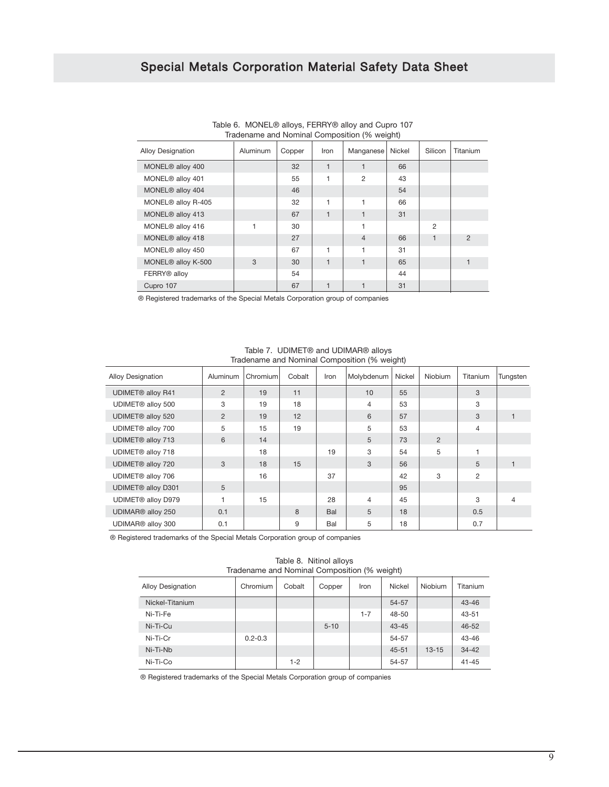|                              |          |        |              | Iradename and Nominal Composition (% weight) |        |         |                |
|------------------------------|----------|--------|--------------|----------------------------------------------|--------|---------|----------------|
| <b>Alloy Designation</b>     | Aluminum | Copper | Iron         | Manganese                                    | Nickel | Silicon | Titanium       |
| MONEL <sup>®</sup> alloy 400 |          | 32     |              |                                              | 66     |         |                |
| MONEL® alloy 401             |          | 55     | 1            | $\overline{c}$                               | 43     |         |                |
| MONEL® alloy 404             |          | 46     |              |                                              | 54     |         |                |
| MONEL® alloy R-405           |          | 32     | 1            | 1                                            | 66     |         |                |
| MONEL <sup>®</sup> alloy 413 |          | 67     | $\mathbf{1}$ | 1                                            | 31     |         |                |
| MONEL® alloy 416             |          | 30     |              | 1                                            |        | 2       |                |
| MONEL® alloy 418             |          | 27     |              | $\overline{4}$                               | 66     |         | $\overline{2}$ |
| MONEL® alloy 450             |          | 67     | 1            | 1                                            | 31     |         |                |
| MONEL® alloy K-500           | 3        | 30     | $\mathbf{1}$ | 1                                            | 65     |         |                |
| FERRY <sup>®</sup> alloy     |          | 54     |              |                                              | 44     |         |                |
| Cupro 107                    |          | 67     |              | $\mathbf{1}$                                 | 31     |         |                |

Table 6. MONEL® alloys, FERRY® alloy and Cupro 107 Tradename and Nominal Composition (% weight)

® Registered trademarks of the Special Metals Corporation group of companies

| madorialito and riotimial composition (70 molgrit) |                |          |              |      |                |        |                |                |          |  |  |  |
|----------------------------------------------------|----------------|----------|--------------|------|----------------|--------|----------------|----------------|----------|--|--|--|
| <b>Alloy Designation</b>                           | Aluminum       | Chromium | Cobalt       | Iron | Molybdenum     | Nickel | <b>Niobium</b> | Titanium       | Tungsten |  |  |  |
| <b>UDIMET® alloy R41</b>                           | $\overline{2}$ | 19       | 11           |      | 10             | 55     |                | 3              |          |  |  |  |
| UDIMET® alloy 500                                  | 3              | 19       | 18           |      | $\overline{4}$ | 53     |                | 3              |          |  |  |  |
| UDIMET® alloy 520                                  | $\overline{2}$ | 19       | 12           |      | 6              | 57     |                | 3              |          |  |  |  |
| UDIMET® alloy 700                                  | 5              | 15       | 19           |      | 5              | 53     |                | 4              |          |  |  |  |
| UDIMET® alloy 713                                  | 6              | 14       |              |      | 5              | 73     | 2              |                |          |  |  |  |
| UDIMET® alloy 718                                  |                | 18       |              | 19   | 3              | 54     | 5              |                |          |  |  |  |
| UDIMET® alloy 720                                  | 3              | 18       | 15           |      | 3              | 56     |                | 5              | 1        |  |  |  |
| UDIMET® alloy 706                                  |                | 16       |              | 37   |                | 42     | 3              | $\overline{2}$ |          |  |  |  |
| UDIMET® alloy D301                                 | 5              |          |              |      |                | 95     |                |                |          |  |  |  |
| UDIMET® alloy D979                                 |                | 15       |              | 28   | $\overline{4}$ | 45     |                | 3              | 4        |  |  |  |
| UDIMAR® alloy 250                                  | 0.1            |          | $\mathsf{R}$ | Bal  | 5              | 18     |                | 0.5            |          |  |  |  |
| UDIMAR® alloy 300                                  | 0.1            |          | 9            | Bal  | 5              | 18     |                | 0.7            |          |  |  |  |

Table 7. UDIMET® and UDIMAR® alloys Tradename and Nominal Composition (% weight)

® Registered trademarks of the Special Metals Corporation group of companies

Table 8. Nitinol alloys Tradename and Nominal Composition (% weight)

| <b>Alloy Designation</b> | Chromium    | Cobalt  | Copper   | Iron    | <b>Nickel</b> | Niobium   | Titanium  |
|--------------------------|-------------|---------|----------|---------|---------------|-----------|-----------|
| Nickel-Titanium          |             |         |          |         | 54-57         |           | $43 - 46$ |
| Ni-Ti-Fe                 |             |         |          | $1 - 7$ | 48-50         |           | $43 - 51$ |
| Ni-Ti-Cu                 |             |         | $5 - 10$ |         | $43 - 45$     |           | $46 - 52$ |
| Ni-Ti-Cr                 | $0.2 - 0.3$ |         |          |         | 54-57         |           | $43 - 46$ |
| Ni-Ti-Nb                 |             |         |          |         | $45 - 51$     | $13 - 15$ | $34 - 42$ |
| Ni-Ti-Co                 |             | $1 - 2$ |          |         | 54-57         |           | $41 - 45$ |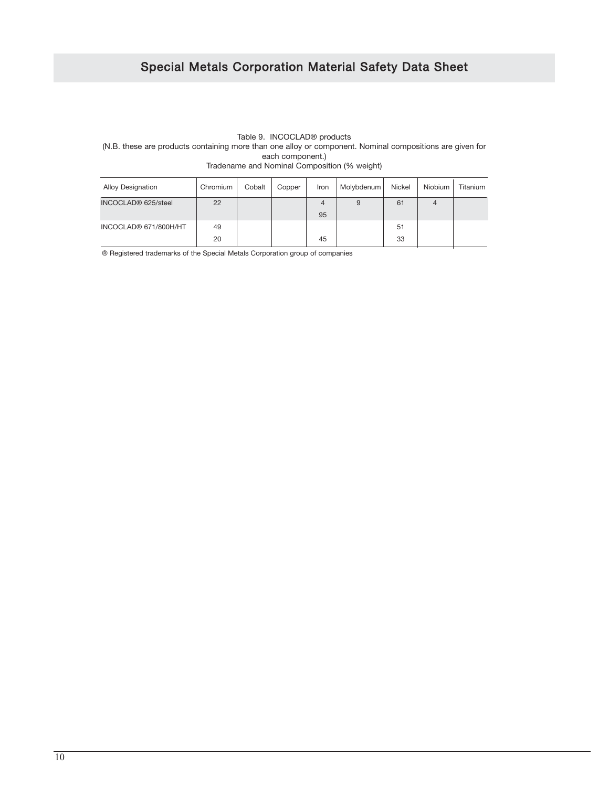#### Table 9. INCOCLAD® products (N.B. these are products containing more than one alloy or component. Nominal compositions are given for each component.) Tradename and Nominal Composition (% weight)

| <b>Alloy Designation</b><br>Chromium |    | Cobalt | Copper | Iron    | Molybdenum | Nickel | Niobium | Titanium |
|--------------------------------------|----|--------|--------|---------|------------|--------|---------|----------|
| INCOCLAD <sup>®</sup> 625/steel      | 22 |        |        | 4<br>95 | 9          | 61     |         |          |
| INCOCLAD® 671/800H/HT                | 49 |        |        |         |            | 51     |         |          |
|                                      | 20 |        |        | 45      |            | 33     |         |          |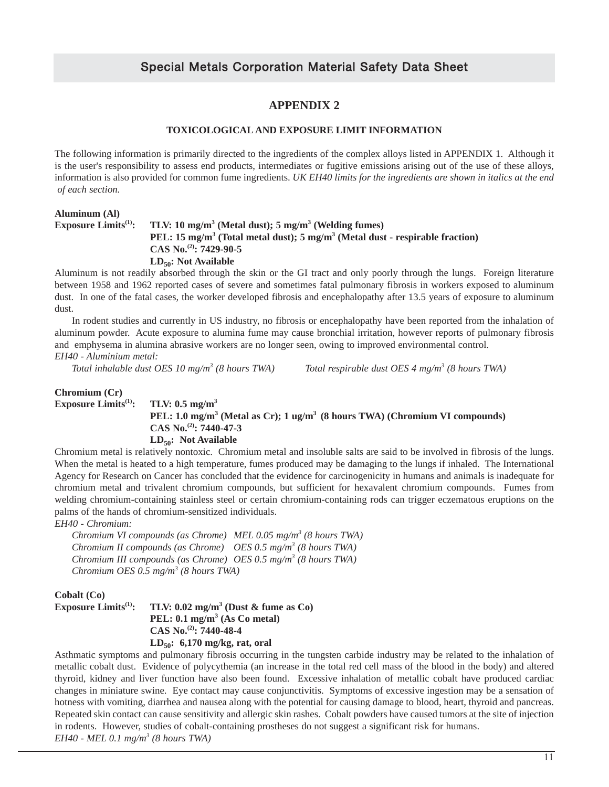### **APPENDIX 2**

#### **TOXICOLOGICAL AND EXPOSURE LIMIT INFORMATION**

The following information is primarily directed to the ingredients of the complex alloys listed in APPENDIX 1. Although it is the user's responsibility to assess end products, intermediates or fugitive emissions arising out of the use of these alloys, information is also provided for common fume ingredients. *UK EH40 limits for the ingredients are shown in italics at the end of each section.*

#### **Aluminum (Al) Exposure Limits<sup>(1)</sup>: TLV: 10 mg/m<sup>3</sup> (Metal dust); 5 mg/m<sup>3</sup> (Welding fumes) PEL: 15 mg/m3 (Total metal dust); 5 mg/m3 (Metal dust - respirable fraction) CAS No.(2): 7429-90-5** LD<sub>50</sub>: Not Available

Aluminum is not readily absorbed through the skin or the GI tract and only poorly through the lungs. Foreign literature between 1958 and 1962 reported cases of severe and sometimes fatal pulmonary fibrosis in workers exposed to aluminum dust. In one of the fatal cases, the worker developed fibrosis and encephalopathy after 13.5 years of exposure to aluminum dust.

In rodent studies and currently in US industry, no fibrosis or encephalopathy have been reported from the inhalation of aluminum powder. Acute exposure to alumina fume may cause bronchial irritation, however reports of pulmonary fibrosis and emphysema in alumina abrasive workers are no longer seen, owing to improved environmental control. *EH40 - Aluminium metal:*

*Total inhalable dust OES 10 mg/m3 (8 hours TWA) Total respirable dust OES 4 mg/m3 (8 hours TWA)*

#### **Chromium (Cr)**

**Exposure Limits**<sup>(1)</sup>: TLV:  $0.5$  mg/m<sup>3</sup> **PEL: 1.0 mg/m3 (Metal as Cr); 1 ug/m3 (8 hours TWA) (Chromium VI compounds) CAS No.(2): 7440-47-3 LD50: Not Available**

Chromium metal is relatively nontoxic. Chromium metal and insoluble salts are said to be involved in fibrosis of the lungs. When the metal is heated to a high temperature, fumes produced may be damaging to the lungs if inhaled. The International Agency for Research on Cancer has concluded that the evidence for carcinogenicity in humans and animals is inadequate for chromium metal and trivalent chromium compounds, but sufficient for hexavalent chromium compounds. Fumes from welding chromium-containing stainless steel or certain chromium-containing rods can trigger eczematous eruptions on the palms of the hands of chromium-sensitized individuals.

*EH40 - Chromium:*

*Chromium VI compounds (as Chrome) MEL 0.05 mg/m3 (8 hours TWA) Chromium II compounds (as Chrome) OES 0.5 mg/m3 (8 hours TWA) Chromium III compounds (as Chrome) OES 0.5 mg/m3 (8 hours TWA) Chromium OES 0.5 mg/m3 (8 hours TWA)*

**Cobalt (Co)**

| Exposure $\mathbf{Limits}^{(1)}$ : | TLV: $0.02 \text{ mg/m}^3$ (Dust & fume as Co) |
|------------------------------------|------------------------------------------------|
|                                    | PEL: $0.1 \text{ mg/m}^3$ (As Co metal)        |
|                                    | CAS No. <sup>(2)</sup> : 7440-48-4             |
|                                    | $LD_{50}$ : 6,170 mg/kg, rat, oral             |

Asthmatic symptoms and pulmonary fibrosis occurring in the tungsten carbide industry may be related to the inhalation of metallic cobalt dust. Evidence of polycythemia (an increase in the total red cell mass of the blood in the body) and altered thyroid, kidney and liver function have also been found. Excessive inhalation of metallic cobalt have produced cardiac changes in miniature swine. Eye contact may cause conjunctivitis. Symptoms of excessive ingestion may be a sensation of hotness with vomiting, diarrhea and nausea along with the potential for causing damage to blood, heart, thyroid and pancreas. Repeated skin contact can cause sensitivity and allergic skin rashes. Cobalt powders have caused tumors at the site of injection in rodents. However, studies of cobalt-containing prostheses do not suggest a significant risk for humans. *EH40 - MEL 0.1 mg/m3 (8 hours TWA)*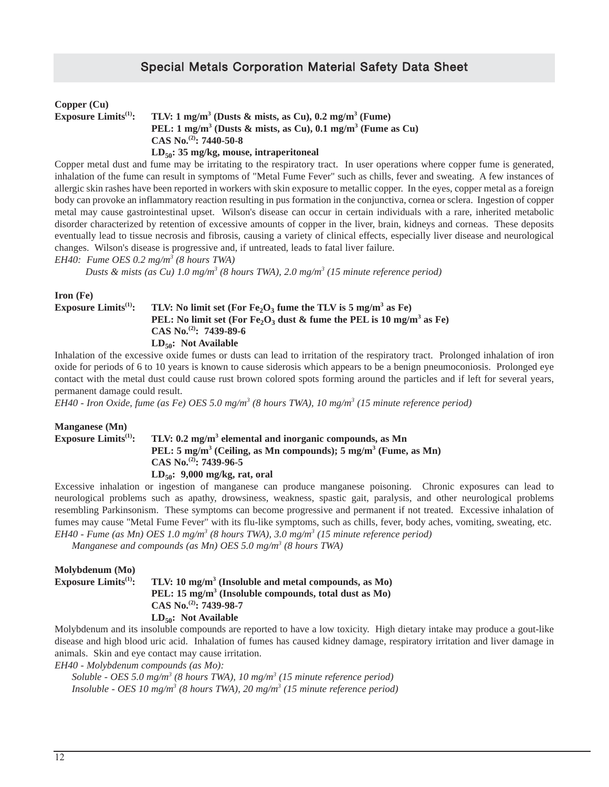| Copper (Cu)                      |                                                                                    |
|----------------------------------|------------------------------------------------------------------------------------|
| Exposure $\text{Limits}^{(1)}$ : | TLV: 1 mg/m <sup>3</sup> (Dusts & mists, as Cu), $0.2$ mg/m <sup>3</sup> (Fume)    |
|                                  | PEL: $1 \text{ mg/m}^3$ (Dusts & mists, as Cu), 0.1 mg/m <sup>3</sup> (Fume as Cu) |
|                                  | CAS No. <sup>(2)</sup> : 7440-50-8                                                 |
|                                  | $LD_{50}$ : 35 mg/kg, mouse, intraperitoneal                                       |

Copper metal dust and fume may be irritating to the respiratory tract. In user operations where copper fume is generated, inhalation of the fume can result in symptoms of "Metal Fume Fever" such as chills, fever and sweating. A few instances of allergic skin rashes have been reported in workers with skin exposure to metallic copper. In the eyes, copper metal as a foreign body can provoke an inflammatory reaction resulting in pus formation in the conjunctiva, cornea or sclera. Ingestion of copper metal may cause gastrointestinal upset. Wilson's disease can occur in certain individuals with a rare, inherited metabolic disorder characterized by retention of excessive amounts of copper in the liver, brain, kidneys and corneas. These deposits eventually lead to tissue necrosis and fibrosis, causing a variety of clinical effects, especially liver disease and neurological changes. Wilson's disease is progressive and, if untreated, leads to fatal liver failure.

*EH40: Fume OES 0.2 mg/m3 (8 hours TWA)*

*Dusts & mists (as Cu) 1.0 mg/m3 (8 hours TWA), 2.0 mg/m3 (15 minute reference period)*

#### **Iron (Fe)**

#### **Exposure Limits<sup>(1)</sup>:** TLV: No limit set (For  $Fe<sub>2</sub>O<sub>3</sub>$  fume the TLV is 5 mg/m<sup>3</sup> as Fe) **PEL:** No limit set (For Fe,  $O_3$  dust & fume the PEL is 10 mg/m<sup>3</sup> as Fe) **CAS No.(2): 7439-89-6 LD50: Not Available**

Inhalation of the excessive oxide fumes or dusts can lead to irritation of the respiratory tract. Prolonged inhalation of iron oxide for periods of 6 to 10 years is known to cause siderosis which appears to be a benign pneumoconiosis. Prolonged eye contact with the metal dust could cause rust brown colored spots forming around the particles and if left for several years, permanent damage could result.

*EH40 - Iron Oxide, fume (as Fe) OES 5.0 mg/m3 (8 hours TWA), 10 mg/m3 (15 minute reference period)*

#### **Manganese (Mn)**

#### **Exposure Limits<sup>(1)</sup>: TLV: 0.2 mg/m<sup>3</sup> elemental and inorganic compounds, as Mn PEL: 5 mg/m3 (Ceiling, as Mn compounds); 5 mg/m3 (Fume, as Mn) CAS No.(2): 7439-96-5 LD50: 9,000 mg/kg, rat, oral**

Excessive inhalation or ingestion of manganese can produce manganese poisoning. Chronic exposures can lead to neurological problems such as apathy, drowsiness, weakness, spastic gait, paralysis, and other neurological problems resembling Parkinsonism. These symptoms can become progressive and permanent if not treated. Excessive inhalation of fumes may cause "Metal Fume Fever" with its flu-like symptoms, such as chills, fever, body aches, vomiting, sweating, etc. *EH40 - Fume (as Mn) OES 1.0 mg/m3 (8 hours TWA), 3.0 mg/m3 (15 minute reference period)*

*Manganese and compounds (as Mn) OES 5.0 mg/m3 (8 hours TWA)*

#### **Molybdenum (Mo) Exposure Limits**<sup>(1)</sup>: TLV: 10 mg/m<sup>3</sup> (Insoluble and metal compounds, as Mo) **PEL: 15 mg/m3 (Insoluble compounds, total dust as Mo) CAS No.(2): 7439-98-7** LD<sub>50</sub>: Not Available

Molybdenum and its insoluble compounds are reported to have a low toxicity. High dietary intake may produce a gout-like disease and high blood uric acid. Inhalation of fumes has caused kidney damage, respiratory irritation and liver damage in animals. Skin and eye contact may cause irritation.

*EH40 - Molybdenum compounds (as Mo):*

*Soluble - OES 5.0 mg/m3 (8 hours TWA), 10 mg/m3 (15 minute reference period) Insoluble - OES 10 mg/m3 (8 hours TWA), 20 mg/m3 (15 minute reference period)*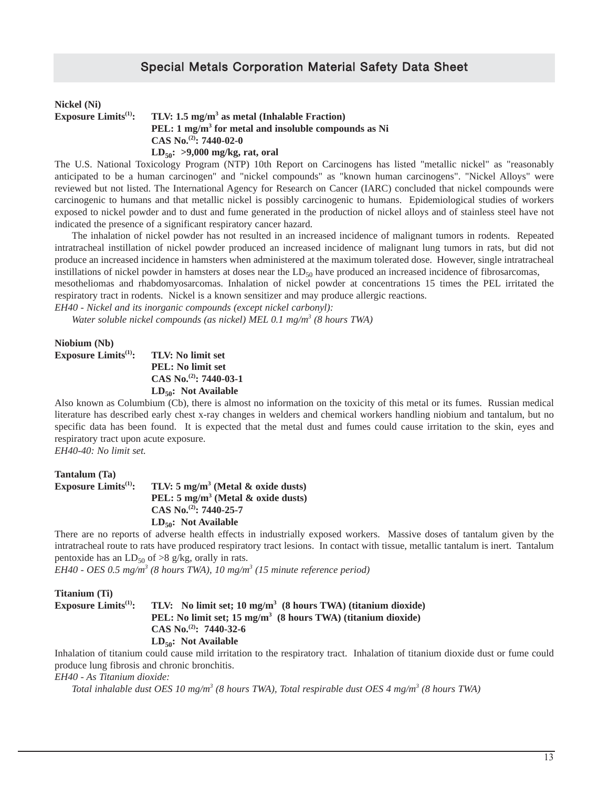| Nickel (Ni)                             |                                                                 |
|-----------------------------------------|-----------------------------------------------------------------|
| <b>Exposure Limits</b> <sup>(1)</sup> : | TLV: 1.5 mg/m <sup>3</sup> as metal (Inhalable Fraction)        |
|                                         | PEL: $1 \text{ mg/m}^3$ for metal and insoluble compounds as Ni |
|                                         | CAS No. <sup>(2)</sup> : 7440-02-0                              |
|                                         | LD <sub>50</sub> : >9,000 mg/kg, rat, oral                      |

The U.S. National Toxicology Program (NTP) 10th Report on Carcinogens has listed "metallic nickel" as "reasonably anticipated to be a human carcinogen" and "nickel compounds" as "known human carcinogens". "Nickel Alloys" were reviewed but not listed. The International Agency for Research on Cancer (IARC) concluded that nickel compounds were carcinogenic to humans and that metallic nickel is possibly carcinogenic to humans. Epidemiological studies of workers exposed to nickel powder and to dust and fume generated in the production of nickel alloys and of stainless steel have not indicated the presence of a significant respiratory cancer hazard.

The inhalation of nickel powder has not resulted in an increased incidence of malignant tumors in rodents. Repeated intratracheal instillation of nickel powder produced an increased incidence of malignant lung tumors in rats, but did not produce an increased incidence in hamsters when administered at the maximum tolerated dose. However, single intratracheal instillations of nickel powder in hamsters at doses near the  $LD<sub>50</sub>$  have produced an increased incidence of fibrosarcomas,

mesotheliomas and rhabdomyosarcomas. Inhalation of nickel powder at concentrations 15 times the PEL irritated the respiratory tract in rodents. Nickel is a known sensitizer and may produce allergic reactions.

*EH40 - Nickel and its inorganic compounds (except nickel carbonyl):*

*Water soluble nickel compounds (as nickel) MEL 0.1 mg/m3 (8 hours TWA)*

**Niobium (Nb)**

**Exposure Limits<sup>(1)</sup>: TLV: No limit set PEL: No limit set CAS No.(2): 7440-03-1 LD50: Not Available** 

Also known as Columbium (Cb), there is almost no information on the toxicity of this metal or its fumes. Russian medical literature has described early chest x-ray changes in welders and chemical workers handling niobium and tantalum, but no specific data has been found. It is expected that the metal dust and fumes could cause irritation to the skin, eyes and respiratory tract upon acute exposure.

*EH40-40: No limit set.*

**Tantalum (Ta) Exposure Limits(1): TLV: 5 mg/m3 (Metal & oxide dusts) PEL: 5 mg/m3 (Metal & oxide dusts) CAS No.(2): 7440-25-7 LD50: Not Available**

There are no reports of adverse health effects in industrially exposed workers. Massive doses of tantalum given by the intratracheal route to rats have produced respiratory tract lesions. In contact with tissue, metallic tantalum is inert. Tantalum pentoxide has an  $LD_{50}$  of >8 g/kg, orally in rats.

*EH40 - OES 0.5 mg/m3 (8 hours TWA), 10 mg/m3 (15 minute reference period)*

| <b>Titanium (Ti)</b>                    |                                                                         |
|-----------------------------------------|-------------------------------------------------------------------------|
| <b>Exposure Limits</b> <sup>(1)</sup> : | TLV: No limit set; $10 \text{ mg/m}^3$ (8 hours TWA) (titanium dioxide) |
|                                         | PEL: No limit set; $15 \text{ mg/m}^3$ (8 hours TWA) (titanium dioxide) |
|                                         | CAS No. <sup>(2)</sup> : 7440-32-6                                      |
|                                         | $LD_{50}$ : Not Available                                               |

Inhalation of titanium could cause mild irritation to the respiratory tract. Inhalation of titanium dioxide dust or fume could produce lung fibrosis and chronic bronchitis.

*EH40 - As Titanium dioxide:*

*Total inhalable dust OES 10 mg/m3 (8 hours TWA), Total respirable dust OES 4 mg/m3 (8 hours TWA)*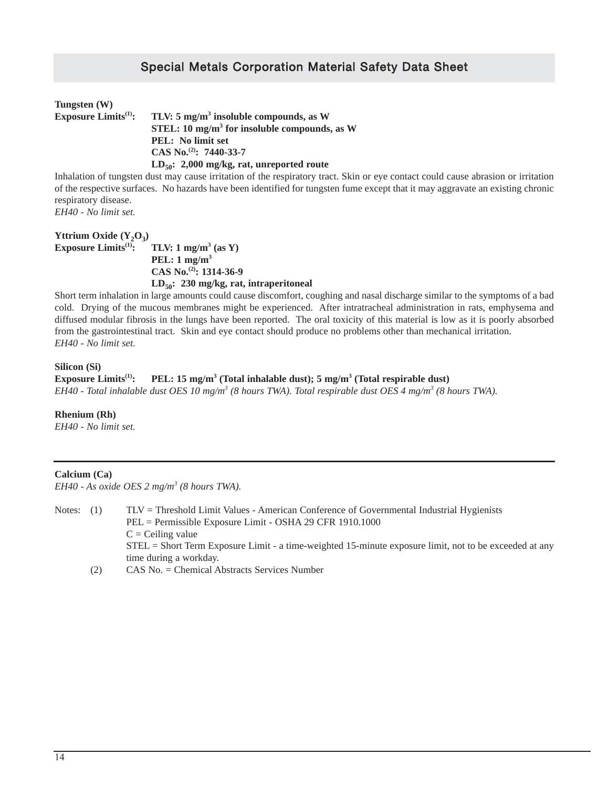| Tungsten (W)                     |                                                          |
|----------------------------------|----------------------------------------------------------|
| Exposure $\text{Limits}^{(1)}$ : | TLV: $5 \text{ mg/m}^3$ insoluble compounds, as W        |
|                                  | STEL: 10 mg/m <sup>3</sup> for insoluble compounds, as W |
|                                  | <b>PEL:</b> No limit set                                 |
|                                  | CAS No. <sup>(2)</sup> : 7440-33-7                       |
|                                  | $LD_{50}$ : 2,000 mg/kg, rat, unreported route           |

Inhalation of tungsten dust may cause irritation of the respiratory tract. Skin or eye contact could cause abrasion or irritation of the respective surfaces. No hazards have been identified for tungsten fume except that it may aggravate an existing chronic respiratory disease.

*EH40 - No limit set.*

#### **Yttrium Oxide (Y<sub>2</sub>O<sub>3</sub>)<br><b>Exposure Limits**<sup>(1)</sup>: **TLV:** 1 mg/m<sup>3</sup> (as Y) **PEL: 1 mg/m3 CAS No.(2): 1314-36-9 LD50: 230 mg/kg, rat, intraperitoneal**

Short term inhalation in large amounts could cause discomfort, coughing and nasal discharge similar to the symptoms of a bad cold. Drying of the mucous membranes might be experienced. After intratracheal administration in rats, emphysema and diffused modular fibrosis in the lungs have been reported. The oral toxicity of this material is low as it is poorly absorbed from the gastrointestinal tract. Skin and eye contact should produce no problems other than mechanical irritation. *EH40 - No limit set.*

#### **Silicon (Si)**

**Exposure Limits<sup>(1)</sup>: PEL: 15 mg/m<sup>3</sup> (Total inhalable dust); 5 mg/m<sup>3</sup> (Total respirable dust)** *EH40 - Total inhalable dust OES 10 mg/m3 (8 hours TWA). Total respirable dust OES 4 mg/m3 (8 hours TWA).*

#### **Rhenium (Rh)**

*EH40 - No limit set.*

#### **Calcium (Ca)**

*EH40 - As oxide OES 2 mg/m3 (8 hours TWA).* 

| Notes: $(1)$  | $TLV = Threshold Limit Values - American Conference of Governmental Industrial Hyeienists$             |
|---------------|--------------------------------------------------------------------------------------------------------|
|               | PEL = Permissible Exposure Limit - OSHA 29 CFR 1910.1000                                               |
|               | $C = Ceiling value$                                                                                    |
|               | STEL = Short Term Exposure Limit - a time-weighted 15-minute exposure limit, not to be exceeded at any |
|               | time during a workday.                                                                                 |
| $\sim$ $\sim$ |                                                                                                        |

(2) CAS No. = Chemical Abstracts Services Number